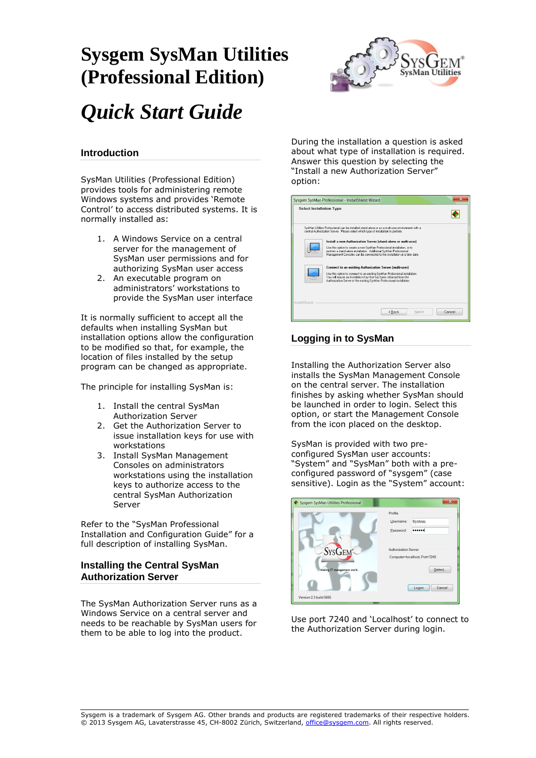## **Sysgem SysMan Utilities (Professional Edition)**



# *Quick Start Guide*

## **Introduction**

SysMan Utilities (Professional Edition) provides tools for administering remote Windows systems and provides 'Remote Control' to access distributed systems. It is normally installed as:

- 1. A Windows Service on a central server for the management of SysMan user permissions and for authorizing SysMan user access
- 2. An executable program on administrators' workstations to provide the SysMan user interface

It is normally sufficient to accept all the defaults when installing SysMan but installation options allow the configuration to be modified so that, for example, the location of files installed by the setup program can be changed as appropriate.

The principle for installing SysMan is:

- 1. Install the central SysMan Authorization Server
- 2. Get the Authorization Server to issue installation keys for use with workstations
- 3. Install SysMan Management Consoles on administrators workstations using the installation keys to authorize access to the central SysMan Authorization Server

Refer to the "SysMan Professional Installation and Configuration Guide" for a full description of installing SysMan.

#### **Installing the Central SysMan Authorization Server**

The SysMan Authorization Server runs as a Windows Service on a central server and needs to be reachable by SysMan users for them to be able to log into the product.

During the installation a question is asked about what type of installation is required. Answer this question by selecting the "Install a new Authorization Server" option:

| <b>Select Installation Type</b> |                                                                                                                                                                                                                                                                                                                                                                                                                                                                                                                                                                                            |        |        |
|---------------------------------|--------------------------------------------------------------------------------------------------------------------------------------------------------------------------------------------------------------------------------------------------------------------------------------------------------------------------------------------------------------------------------------------------------------------------------------------------------------------------------------------------------------------------------------------------------------------------------------------|--------|--------|
|                                 | SysMan Utilities Professional can be installed stand-alone or as a multi-user environment with a<br>central Authorization Server. Please select which type of installation to perform.                                                                                                                                                                                                                                                                                                                                                                                                     |        |        |
|                                 | Install a new Authorization Server (stand-alone or multi-user)<br>Use this option to create a new SysMan Professional installation, or to<br>perform a stand-alone installation. Additional SysMan Professional<br>Management Consoles can be connected to this installation at a later date.<br>Connect to an existing Authorization Server (multi-user)<br>Use this option to connect to an existing SysMan Professional installation.<br>You will require an Installation Key that has been obtained from the<br>Authorization Server in the existing SysMan Professional installation. |        |        |
| InstallShield                   | <back< th=""><th>Next &gt;</th><th>Cancel</th></back<>                                                                                                                                                                                                                                                                                                                                                                                                                                                                                                                                     | Next > | Cancel |

## **Logging in to SysMan**

Installing the Authorization Server also installs the SysMan Management Console on the central server. The installation finishes by asking whether SysMan should be launched in order to login. Select this option, or start the Management Console from the icon placed on the desktop.

SysMan is provided with two preconfigured SysMan user accounts: "System" and "SysMan" both with a preconfigured password of "sysgem" (case sensitive). Login as the "System" account:



Use port 7240 and 'Localhost' to connect to the Authorization Server during login.